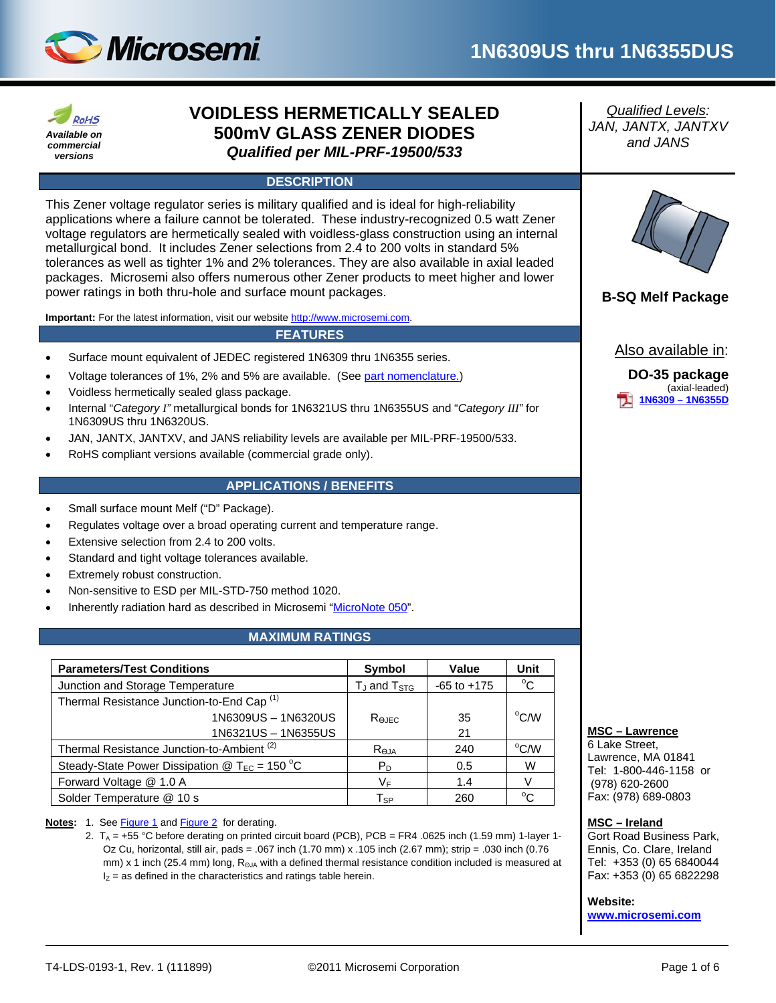



# **VOIDLESS HERMETICALLY SEALED 500mV GLASS ZENER DIODES** *Qualified per MIL-PRF-19500/533*

# **DESCRIPTION**

This Zener voltage regulator series is military qualified and is ideal for high-reliability applications where a failure cannot be tolerated. These industry-recognized 0.5 watt Zener voltage regulators are hermetically sealed with voidless-glass construction using an internal metallurgical bond. It includes Zener selections from 2.4 to 200 volts in standard 5% tolerances as well as tighter 1% and 2% tolerances. They are also available in axial leaded packages. Microsemi also offers numerous other Zener products to meet higher and lower power ratings in both thru-hole and surface mount packages.<br> **B-SQ Melf Package** 

**Important:** For the latest information, visit our website [http://www.microsemi.com.](http://www.microsemi.com/)

#### **FEATURES**

- Surface mount equivalent of JEDEC registered 1N6309 thru 1N6355 series.
- Voltage tolerances of 1%, 2% and 5% are available. (Se[e part nomenclature.\)](#page-1-0)
- Voidless hermetically sealed glass package.
- Internal "*Category I"* metallurgical bonds for 1N6321US thru 1N6355US and "*Category III"* for 1N6309US thru 1N6320US.
- JAN, JANTX, JANTXV, and JANS reliability levels are available per MIL-PRF-19500/533.
- RoHS compliant versions available (commercial grade only).

# **APPLICATIONS / BENEFITS**

- Small surface mount Melf ("D" Package).
- Regulates voltage over a broad operating current and temperature range.
- Extensive selection from 2.4 to 200 volts.
- Standard and tight voltage tolerances available.
- Extremely robust construction.
- Non-sensitive to ESD per MIL-STD-750 method 1020.
- Inherently radiation hard as described in Microsemi ["MicroNote 050"](http://www.microsemi.com/en/sites/default/files/micnotes/050.pdf).

# **MAXIMUM RATINGS**

| <b>Parameters/Test Conditions</b>                     | Symbol              | Value           | Unit           |
|-------------------------------------------------------|---------------------|-----------------|----------------|
| Junction and Storage Temperature                      | $T_J$ and $T_{STG}$ | $-65$ to $+175$ | $^{\circ}$ C   |
| Thermal Resistance Junction-to-End Cap <sup>(1)</sup> |                     |                 |                |
| 1N6309US - 1N6320US                                   | Rejec               | 35              | $\rm ^{o}$ C/W |
| 1N6321US-1N6355US                                     |                     | 21              |                |
| Thermal Resistance Junction-to-Ambient <sup>(2)</sup> | Reja                | 240             | $\rm ^{o}$ C/W |
| Steady-State Power Dissipation @ $T_{EC}$ = 150 °C    | $P_D$               | 0.5             | W              |
| Forward Voltage @ 1.0 A                               | V⊧                  | 1.4             |                |
| Solder Temperature @ 10 s                             | $T_{SP}$            | 260             | $^{\circ}$ C   |

#### Notes: 1. See [Figure 1](#page-3-0) and [Figure 2](#page-3-1) for derating.

2.  $T_A = +55$  °C before derating on printed circuit board (PCB), PCB = FR4 .0625 inch (1.59 mm) 1-layer 1-Oz Cu, horizontal, still air, pads = .067 inch (1.70 mm) x .105 inch (2.67 mm); strip = .030 inch (0.76 mm) x 1 inch (25.4 mm) long, R<sub>ΘJA</sub> with a defined thermal resistance condition included is measured at  $I_z$  = as defined in the characteristics and ratings table herein.

*Qualified Levels: JAN, JANTX, JANTXV and JANS*



Also available in:

**DO-35 package** (axial-leaded) **[1N6309 –](http://www.microsemi.com/en/products/product-directory/4805) 1N6355D**

# **MSC – Lawrence**

6 Lake Street, Lawrence, MA 01841 Tel: 1-800-446-1158 or (978) 620-2600 Fax: (978) 689-0803

#### **MSC – Ireland**

Gort Road Business Park, Ennis, Co. Clare, Ireland Tel: +353 (0) 65 6840044 Fax: +353 (0) 65 6822298

**Website: [www.microsemi.com](http://www.microsemi.com/)**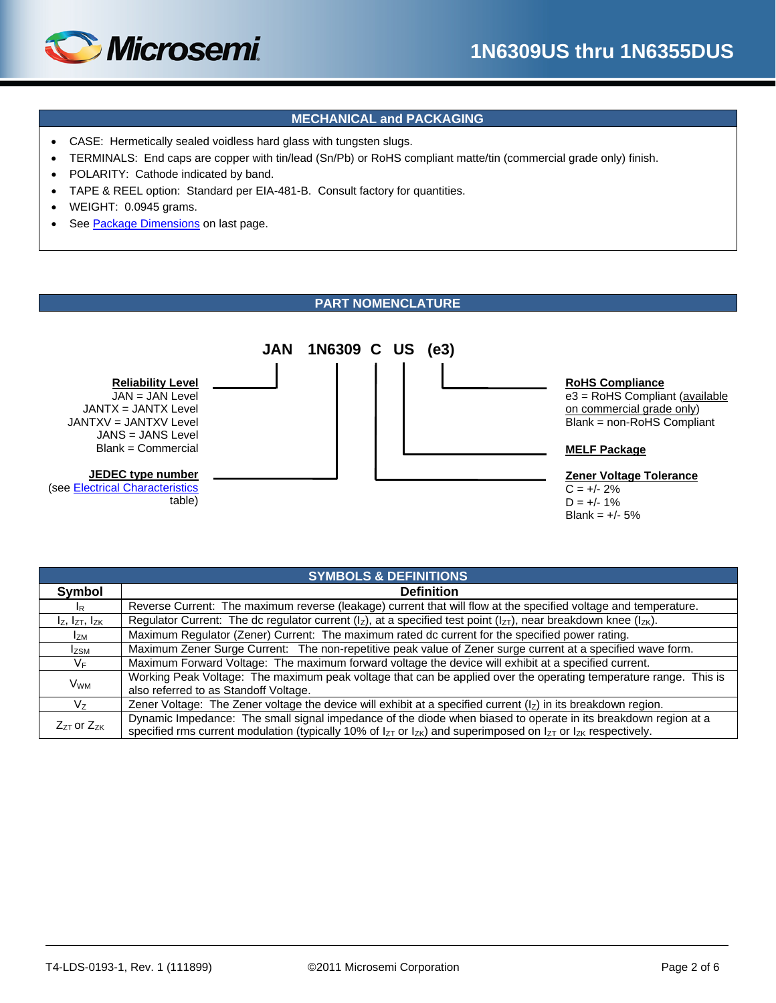

# **MECHANICAL and PACKAGING**

- CASE: Hermetically sealed voidless hard glass with tungsten slugs.
- TERMINALS: End caps are copper with tin/lead (Sn/Pb) or RoHS compliant matte/tin (commercial grade only) finish.
- POLARITY: Cathode indicated by band.
- TAPE & REEL option: Standard per EIA-481-B. Consult factory for quantities.
- WEIGHT: 0.0945 grams.
- See [Package Dimensions](#page-5-0) on last page.

# **PART NOMENCLATURE**

<span id="page-1-0"></span>

| <b>SYMBOLS &amp; DEFINITIONS</b> |                                                                                                                                                                                                                                                    |  |  |  |  |  |  |  |
|----------------------------------|----------------------------------------------------------------------------------------------------------------------------------------------------------------------------------------------------------------------------------------------------|--|--|--|--|--|--|--|
| Symbol                           | <b>Definition</b>                                                                                                                                                                                                                                  |  |  |  |  |  |  |  |
| <sup>I</sup> R                   | Reverse Current: The maximum reverse (leakage) current that will flow at the specified voltage and temperature.                                                                                                                                    |  |  |  |  |  |  |  |
| $I_Z$ , $I_{ZT}$ , $I_{ZK}$      | Regulator Current: The dc regulator current ( $I_z$ ), at a specified test point ( $I_{zT}$ ), near breakdown knee ( $I_{zK}$ ).                                                                                                                   |  |  |  |  |  |  |  |
| <b>IzM</b>                       | Maximum Regulator (Zener) Current: The maximum rated dc current for the specified power rating.                                                                                                                                                    |  |  |  |  |  |  |  |
| <b>Izsm</b>                      | Maximum Zener Surge Current: The non-repetitive peak value of Zener surge current at a specified wave form.                                                                                                                                        |  |  |  |  |  |  |  |
| $V_{\text{F}}$                   | Maximum Forward Voltage: The maximum forward voltage the device will exhibit at a specified current.                                                                                                                                               |  |  |  |  |  |  |  |
| <b>V<sub>WM</sub></b>            | Working Peak Voltage: The maximum peak voltage that can be applied over the operating temperature range. This is<br>also referred to as Standoff Voltage.                                                                                          |  |  |  |  |  |  |  |
| $V_{7}$                          | Zener Voltage: The Zener voltage the device will exhibit at a specified current $(l_z)$ in its breakdown region.                                                                                                                                   |  |  |  |  |  |  |  |
| $Z_{ZT}$ or $Z_{ZK}$             | Dynamic Impedance: The small signal impedance of the diode when biased to operate in its breakdown region at a<br>specified rms current modulation (typically 10% of $I_{ZT}$ or $I_{ZK}$ ) and superimposed on $I_{ZT}$ or $I_{ZK}$ respectively. |  |  |  |  |  |  |  |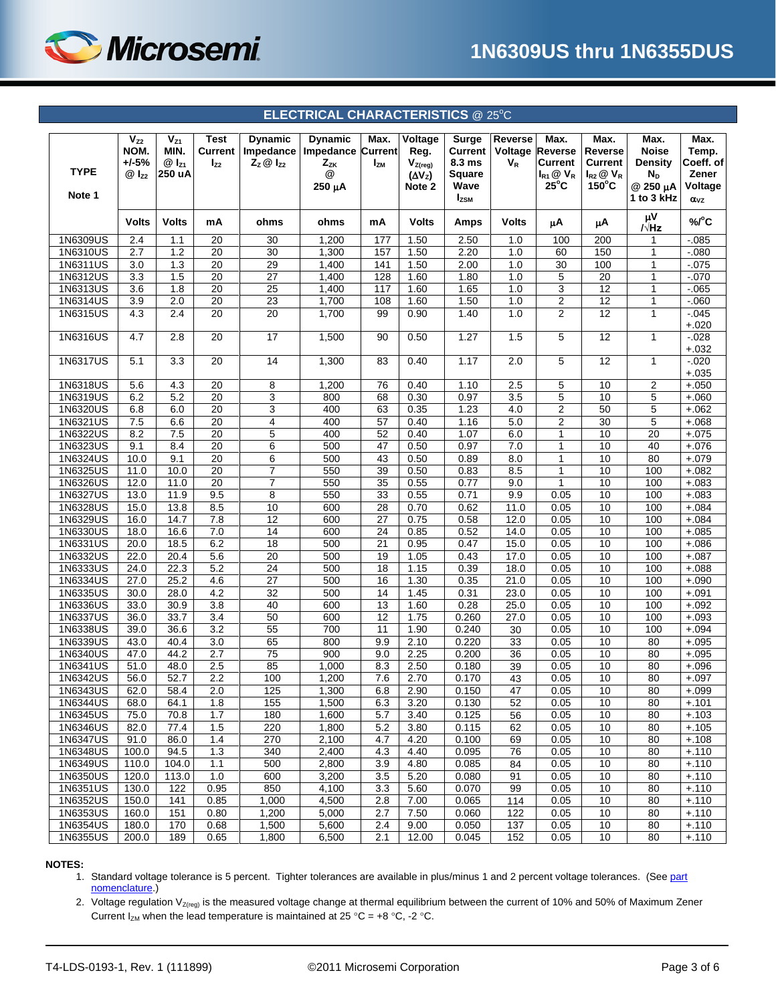

# **ELECTRICAL CHARACTERISTICS** @ 25°C

<span id="page-2-0"></span>

| <b>TYPE</b><br>Note 1 | $V_{Z2}$<br>NOM.<br>$+/-5%$<br>$@I_{Z2}$ | $V_{Z1}$<br>MIN.<br>$@I_{Z1}$<br>250 uA | <b>Test</b><br>Current<br>$I_{Z2}$   | <b>Dynamic</b><br>Impedance<br>$Z_z \otimes I_{z2}$ | <b>Dynamic</b><br>Impedance Current<br>$Z_{ZK}$<br>@<br>250 μA | Max.<br>$I_{ZM}$                   | Voltage<br>Reg.<br>$V_{Z(\text{reg})}$<br>$(\Delta V_z)$<br>Note 2 | Surge<br>Current<br>8.3 ms<br>Square<br>Wave<br>$I_{ZSM}$ | <b>Reverse</b><br>Voltage<br>$V_R$ | Max.<br><b>Reverse</b><br><b>Current</b><br>$I_{R1}$ $\otimes$ $V_R$<br>$25^{\circ}$ C | Max.<br>Reverse<br><b>Current</b><br>$I_{R2}$ $\otimes$ $V_R$<br>$150^{\circ}$ C | Max.<br><b>Noise</b><br>Density<br>$N_D$<br>@ 250 µA<br>1 to 3 kHz | Max.<br>Temp.<br>Coeff. of<br>Zener<br>Voltage |
|-----------------------|------------------------------------------|-----------------------------------------|--------------------------------------|-----------------------------------------------------|----------------------------------------------------------------|------------------------------------|--------------------------------------------------------------------|-----------------------------------------------------------|------------------------------------|----------------------------------------------------------------------------------------|----------------------------------------------------------------------------------|--------------------------------------------------------------------|------------------------------------------------|
|                       | <b>Volts</b>                             | <b>Volts</b>                            | mA                                   | ohms                                                | ohms                                                           | mA                                 | <b>Volts</b>                                                       | Amps                                                      | <b>Volts</b>                       | μA                                                                                     | μA                                                                               | μV                                                                 | $\alpha_{VZ}$<br>%/°C                          |
| 1N6309US              | 2.4                                      | 1.1                                     | 20                                   | 30                                                  | 1,200                                                          | 177                                | 1.50                                                               | 2.50                                                      | 1.0                                | 100                                                                                    | 200                                                                              | /√Hz<br>1                                                          | $-0.085$                                       |
| 1N6310US              | 2.7                                      | 1.2                                     | 20                                   | 30                                                  | 1,300                                                          | 157                                | 1.50                                                               | 2.20                                                      | 1.0                                | 60                                                                                     | 150                                                                              | 1                                                                  | $-080$                                         |
| 1N6311US              | 3.0                                      | 1.3                                     | $\overline{20}$                      | 29                                                  | 1,400                                                          | 141                                | 1.50                                                               | 2.00                                                      | 1.0                                | 30                                                                                     | 100                                                                              | $\mathbf{1}$                                                       | $-0.075$                                       |
| 1N6312US              | 3.3                                      | 1.5                                     | 20                                   | $\overline{27}$                                     | 1,400                                                          | 128                                | 1.60                                                               | 1.80                                                      | 1.0                                | 5                                                                                      | $\overline{20}$                                                                  | $\mathbf{1}$                                                       | $-070$                                         |
| 1N6313US              | 3.6                                      | 1.8                                     | 20                                   | $\overline{25}$                                     | 1,400                                                          | 117                                | 1.60                                                               | 1.65                                                      | 1.0                                | 3                                                                                      | 12                                                                               | $\mathbf{1}$                                                       | $-0.065$                                       |
| 1N6314US              | 3.9                                      | $\overline{2.0}$                        | $\overline{20}$                      | $\overline{23}$                                     | 1,700                                                          | 108                                | 1.60                                                               | 1.50                                                      | 1.0                                | $\overline{2}$                                                                         | 12                                                                               | $\overline{1}$                                                     | $-060$                                         |
| 1N6315US              | 4.3                                      | 2.4                                     | $\overline{20}$                      | 20                                                  | 1,700                                                          | 99                                 | 0.90                                                               | 1.40                                                      | 1.0                                | $\overline{2}$                                                                         | $\overline{12}$                                                                  | $\mathbf{1}$                                                       | $-0.045$<br>$+.020$                            |
| 1N6316US              | 4.7                                      | 2.8                                     | 20                                   | $\overline{17}$                                     | 1,500                                                          | 90                                 | 0.50                                                               | 1.27                                                      | 1.5                                | 5                                                                                      | $\overline{12}$                                                                  | $\mathbf{1}$                                                       | $-0.028$<br>$+.032$                            |
| 1N6317US              | 5.1                                      | 3.3                                     | 20                                   | 14                                                  | 1,300                                                          | 83                                 | 0.40                                                               | 1.17                                                      | 2.0                                | 5                                                                                      | 12                                                                               | $\mathbf{1}$                                                       | $-0.020$<br>$+.035$                            |
| 1N6318US              | 5.6                                      | 4.3                                     | 20                                   | 8                                                   | 1,200                                                          | 76                                 | 0.40                                                               | 1.10                                                      | 2.5                                | 5                                                                                      | 10                                                                               | $\overline{2}$                                                     | $+.050$                                        |
| 1N6319US              | 6.2                                      | 5.2                                     | 20                                   | 3                                                   | 800                                                            | 68                                 | 0.30                                                               | 0.97                                                      | 3.5                                | 5                                                                                      | 10                                                                               | 5                                                                  | $+.060$                                        |
| 1N6320US              | 6.8                                      | 6.0                                     | 20                                   | 3                                                   | 400                                                            | 63                                 | 0.35                                                               | 1.23                                                      | 4.0                                | $\overline{c}$                                                                         | 50                                                                               | 5                                                                  | $+.062$                                        |
| 1N6321US              | 7.5                                      | 6.6                                     | 20                                   | 4                                                   | 400                                                            | 57                                 | 0.40                                                               | 1.16                                                      | 5.0                                | $\overline{2}$                                                                         | 30                                                                               | 5                                                                  | $+.068$                                        |
| 1N6322US              | 8.2                                      | 7.5                                     | 20                                   | 5                                                   | 400                                                            | 52                                 | 0.40                                                               | 1.07                                                      | 6.0                                | 1                                                                                      | 10                                                                               | 20                                                                 | $+.075$                                        |
| 1N6323US              | 9.1                                      | 8.4                                     | $\overline{20}$                      | 6                                                   | 500                                                            | 47                                 | 0.50                                                               | 0.97                                                      | 7.0                                | $\mathbf{1}$                                                                           | 10                                                                               | 40                                                                 | $+.076$                                        |
| 1N6324US              | 10.0                                     | 9.1                                     | 20                                   | 6                                                   | 500                                                            | 43                                 | 0.50                                                               | 0.89                                                      | 8.0                                | $\mathbf{1}$                                                                           | 10                                                                               | 80                                                                 | $+.079$                                        |
| 1N6325US<br>1N6326US  | 11.0<br>12.0                             | 10.0<br>11.0                            | 20<br>$\overline{20}$                | $\overline{7}$<br>$\overline{7}$                    | 550<br>550                                                     | 39<br>35                           | 0.50<br>0.55                                                       | 0.83<br>0.77                                              | 8.5<br>9.0                         | $\mathbf{1}$<br>$\mathbf{1}$                                                           | 10<br>10                                                                         | 100<br>100                                                         | $+.082$<br>$+.083$                             |
| 1N6327US              | 13.0                                     | 11.9                                    | 9.5                                  | 8                                                   | 550                                                            | 33                                 | 0.55                                                               | 0.71                                                      | 9.9                                | 0.05                                                                                   | 10                                                                               | 100                                                                | $+.083$                                        |
| 1N6328US              | 15.0                                     | 13.8                                    | 8.5                                  | 10                                                  | 600                                                            | 28                                 | 0.70                                                               | 0.62                                                      | 11.0                               | 0.05                                                                                   | 10                                                                               | 100                                                                | $+.084$                                        |
| 1N6329US              | 16.0                                     | 14.7                                    | 7.8                                  | $\overline{12}$                                     | 600                                                            | $\overline{27}$                    | 0.75                                                               | 0.58                                                      | 12.0                               | 0.05                                                                                   | 10                                                                               | 100                                                                | $+.084$                                        |
| 1N6330US              | 18.0                                     | 16.6                                    | 7.0                                  | 14                                                  | 600                                                            | 24                                 | 0.85                                                               | 0.52                                                      | 14.0                               | 0.05                                                                                   | 10                                                                               | 100                                                                | $+.085$                                        |
| 1N6331US              | 20.0                                     | 18.5                                    | 6.2                                  | $\overline{18}$                                     | 500                                                            | $\overline{21}$                    | 0.95                                                               | 0.47                                                      | 15.0                               | 0.05                                                                                   | 10                                                                               | 100                                                                | $+.086$                                        |
| 1N6332US              | 22.0                                     | 20.4                                    | 5.6                                  | 20                                                  | 500                                                            | 19                                 | 1.05                                                               | 0.43                                                      | 17.0                               | 0.05                                                                                   | 10                                                                               | 100                                                                | $+.087$                                        |
| 1N6333US              | 24.0                                     | 22.3                                    | 5.2                                  | $\overline{24}$                                     | 500                                                            | 18                                 | 1.15                                                               | 0.39                                                      | 18.0                               | 0.05                                                                                   | 10                                                                               | 100                                                                | $+.088$                                        |
| 1N6334US              | 27.0                                     | 25.2                                    | 4.6                                  | 27                                                  | 500                                                            | 16                                 | 1.30                                                               | 0.35                                                      | 21.0                               | 0.05                                                                                   | 10                                                                               | 100                                                                | $+.090$                                        |
| 1N6335US              | 30.0                                     | 28.0                                    | 4.2                                  | 32<br>40                                            | 500<br>600                                                     | 14                                 | 1.45                                                               | 0.31                                                      | 23.0                               | 0.05                                                                                   | 10<br>10                                                                         | 100                                                                | $+.091$                                        |
| 1N6336US<br>1N6337US  | 33.0<br>36.0                             | 30.9<br>33.7                            | $\overline{3.8}$<br>$\overline{3.4}$ | 50                                                  | 600                                                            | $\overline{13}$<br>$\overline{12}$ | 1.60<br>1.75                                                       | 0.28<br>0.260                                             | 25.0<br>27.0                       | 0.05<br>0.05                                                                           | 10                                                                               | 100<br>100                                                         | $+.092$<br>$+.093$                             |
| 1N6338US              | 39.0                                     | 36.6                                    | 3.2                                  | 55                                                  | 700                                                            | 11                                 | 1.90                                                               | 0.240                                                     | 30                                 | 0.05                                                                                   | 10                                                                               | 100                                                                | $+.094$                                        |
| 1N6339US              | 43.0                                     | 40.4                                    | 3.0                                  | 65                                                  | 800                                                            | 9.9                                | 2.10                                                               | 0.220                                                     | 33                                 | 0.05                                                                                   | 10                                                                               | 80                                                                 | $+.095$                                        |
| 1N6340US              | 47.0                                     | 44.2                                    | 2.7                                  | 75                                                  | 900                                                            | 9.0                                | 2.25                                                               | 0.200                                                     | 36                                 | 0.05                                                                                   | 10                                                                               | 80                                                                 | $+.095$                                        |
| 1N6341US              | 51.0                                     | 48.0                                    | 2.5                                  | 85                                                  | 1,000                                                          | 8.3                                | 2.50                                                               | 0.180                                                     | 39                                 | 0.05                                                                                   | 10                                                                               | 80                                                                 | $+.096$                                        |
| 1N6342US              | 56.0                                     | 52.7                                    | 2.2                                  | 100                                                 | 1,200                                                          | 7.6                                | 2.70                                                               | 0.170                                                     | 43                                 | 0.05                                                                                   | 10                                                                               | 80                                                                 | $+.097$                                        |
| 1N6343US              | 62.0                                     | 58.4                                    | 2.0                                  | 125                                                 | 1,300                                                          | 6.8                                | 2.90                                                               | 0.150                                                     | 47                                 | 0.05                                                                                   | 10                                                                               | 80                                                                 | $+.099$                                        |
| 1N6344US              | 68.0                                     | 64.1                                    | 1.8                                  | 155                                                 | 1,500                                                          | 6.3                                | 3.20                                                               | 0.130                                                     | 52                                 | 0.05                                                                                   | 10                                                                               | 80                                                                 | $+.101$                                        |
| 1N6345US              | 75.0                                     | 70.8                                    | 1.7                                  | 180                                                 | 1,600                                                          | 5.7                                | 3.40                                                               | 0.125                                                     | 56                                 | 0.05                                                                                   | 10                                                                               | 80                                                                 | $+.103$                                        |
| 1N6346US              | 82.0                                     | 77.4                                    | 1.5                                  | 220                                                 | 1,800                                                          | 5.2                                | 3.80                                                               | 0.115                                                     | 62                                 | 0.05                                                                                   | 10                                                                               | 80                                                                 | $+.105$                                        |
| 1N6347US              | 91.0                                     | 86.0                                    | 1.4                                  | 270                                                 | 2,100                                                          | 4.7                                | 4.20                                                               | 0.100                                                     | 69                                 | 0.05                                                                                   | 10                                                                               | 80                                                                 | $+.108$                                        |
| 1N6348US<br>1N6349US  | 100.0<br>110.0                           | 94.5<br>104.0                           | 1.3<br>1.1                           | 340<br>500                                          | 2,400<br>2,800                                                 | 4.3<br>3.9                         | 4.40<br>4.80                                                       | 0.095<br>0.085                                            | 76<br>84                           | 0.05<br>0.05                                                                           | 10<br>10                                                                         | 80<br>80                                                           | $+.110$<br>$+.110$                             |
| 1N6350US              | 120.0                                    | 113.0                                   | 1.0                                  | 600                                                 | 3,200                                                          | 3.5                                | 5.20                                                               | 0.080                                                     | 91                                 | 0.05                                                                                   | 10                                                                               | 80                                                                 | $+.110$                                        |
| 1N6351US              | 130.0                                    | 122                                     | 0.95                                 | 850                                                 | 4,100                                                          | 3.3                                | 5.60                                                               | 0.070                                                     | 99                                 | 0.05                                                                                   | 10                                                                               | 80                                                                 | $+.110$                                        |
| 1N6352US              | 150.0                                    | 141                                     | 0.85                                 | 1,000                                               | 4,500                                                          | 2.8                                | 7.00                                                               | 0.065                                                     | 114                                | 0.05                                                                                   | 10                                                                               | 80                                                                 | $+.110$                                        |
| 1N6353US              | 160.0                                    | 151                                     | 0.80                                 | 1,200                                               | 5,000                                                          | 2.7                                | 7.50                                                               | 0.060                                                     | 122                                | 0.05                                                                                   | 10                                                                               | 80                                                                 | $+.110$                                        |
| 1N6354US              | 180.0                                    | 170                                     | 0.68                                 | 1,500                                               | 5,600                                                          | 2.4                                | 9.00                                                               | 0.050                                                     | 137                                | 0.05                                                                                   | 10                                                                               | 80                                                                 | $+.110$                                        |
| 1N6355US              | 200.0                                    | 189                                     | 0.65                                 | 1,800                                               | 6,500                                                          | 2.1                                | 12.00                                                              | 0.045                                                     | 152                                | 0.05                                                                                   | 10                                                                               | 80                                                                 | $+.110$                                        |

#### **NOTES:**

1. Standard voltage tolerance is 5 percent. Tighter tolerances are available in plus/minus 1 and 2 percent voltage tolerances. (See part [nomenclature.\)](#page-1-0)

2. Voltage regulation  $V_{Z(reg)}$  is the measured voltage change at thermal equilibrium between the current of 10% and 50% of Maximum Zener Current  $I_{ZM}$  when the lead temperature is maintained at 25 °C = +8 °C, -2 °C.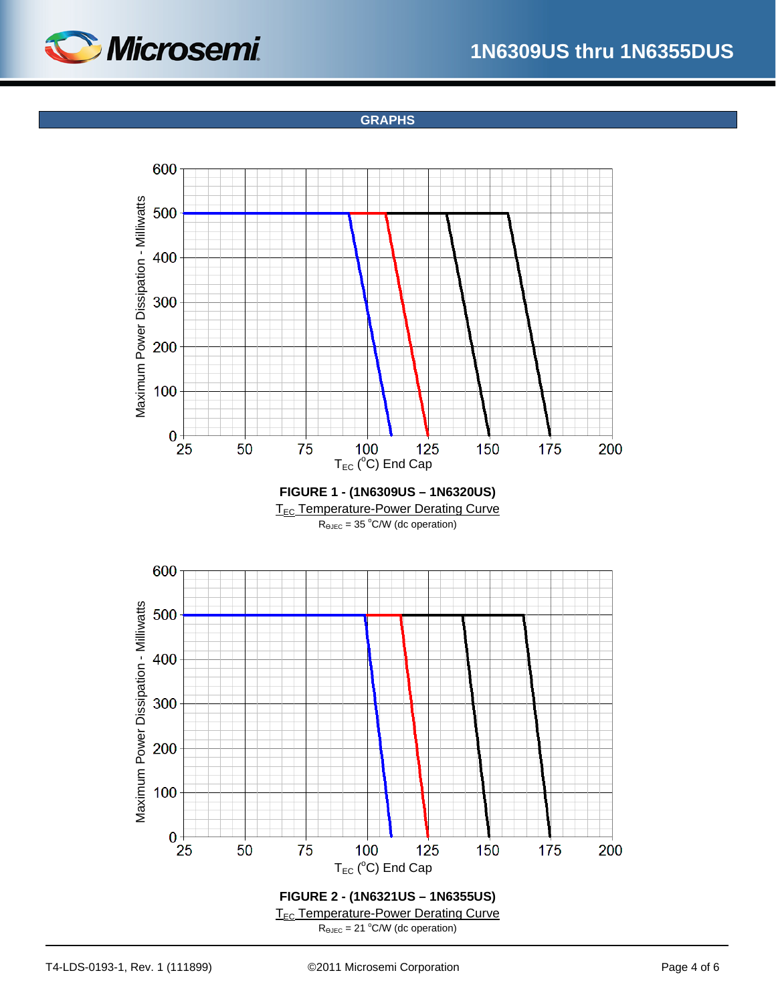

**GRAPHS**

<span id="page-3-1"></span><span id="page-3-0"></span>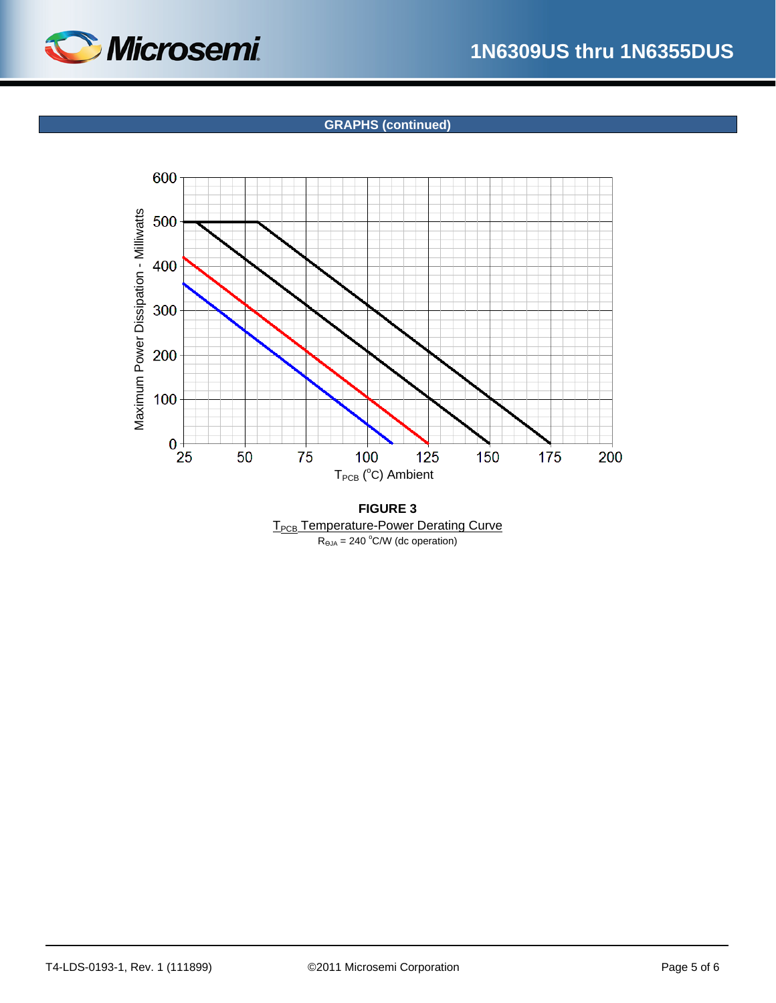

# **GRAPHS (continued)**



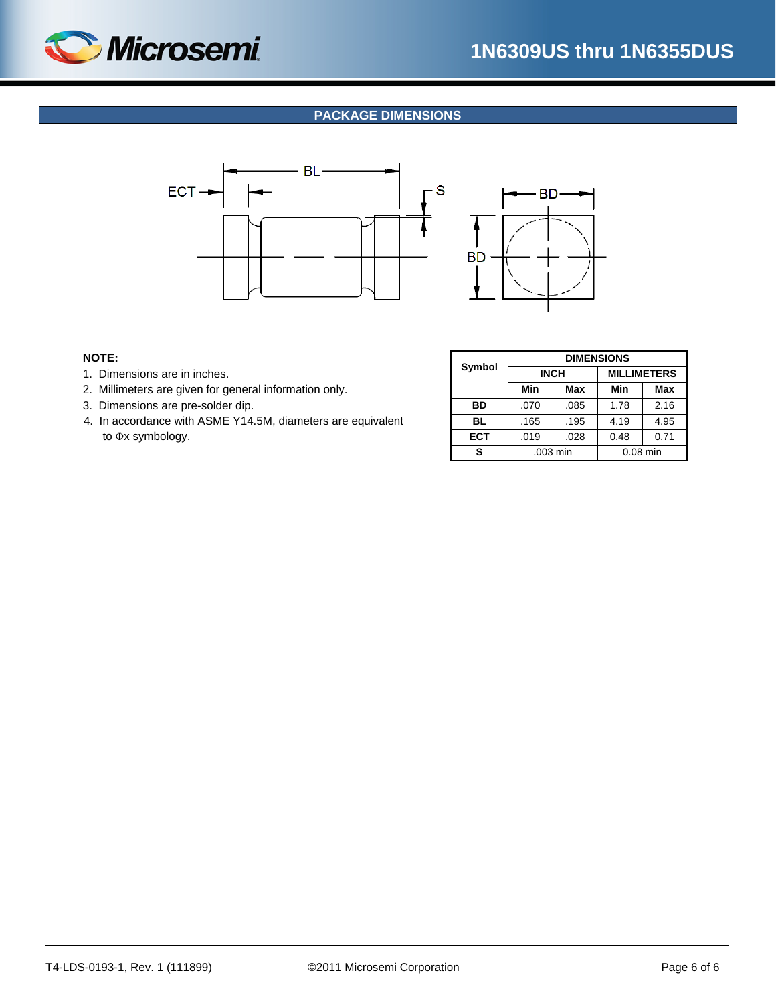<span id="page-5-0"></span>

# **PACKAGE DIMENSIONS**





## **NOTE:**

- 1. Dimensions are in inches.
- 2. Millimeters are given for general information only.
- 3. Dimensions are pre-solder dip.
- 4. In accordance with ASME Y14.5M, diameters are equivalent to Φx symbology.

|           | <b>DIMENSIONS</b> |      |                    |      |  |  |  |  |
|-----------|-------------------|------|--------------------|------|--|--|--|--|
| Symbol    | <b>INCH</b>       |      | <b>MILLIMETERS</b> |      |  |  |  |  |
|           | Min               | Max  | Min                | Max  |  |  |  |  |
| BD        | .070              | .085 |                    | 2.16 |  |  |  |  |
| <b>BL</b> | .165              | .195 | 4.19               | 4.95 |  |  |  |  |
| ECT       | .019              | .028 | 0.48               | 0.71 |  |  |  |  |
| s         | .003 min          |      | $0.08$ min         |      |  |  |  |  |